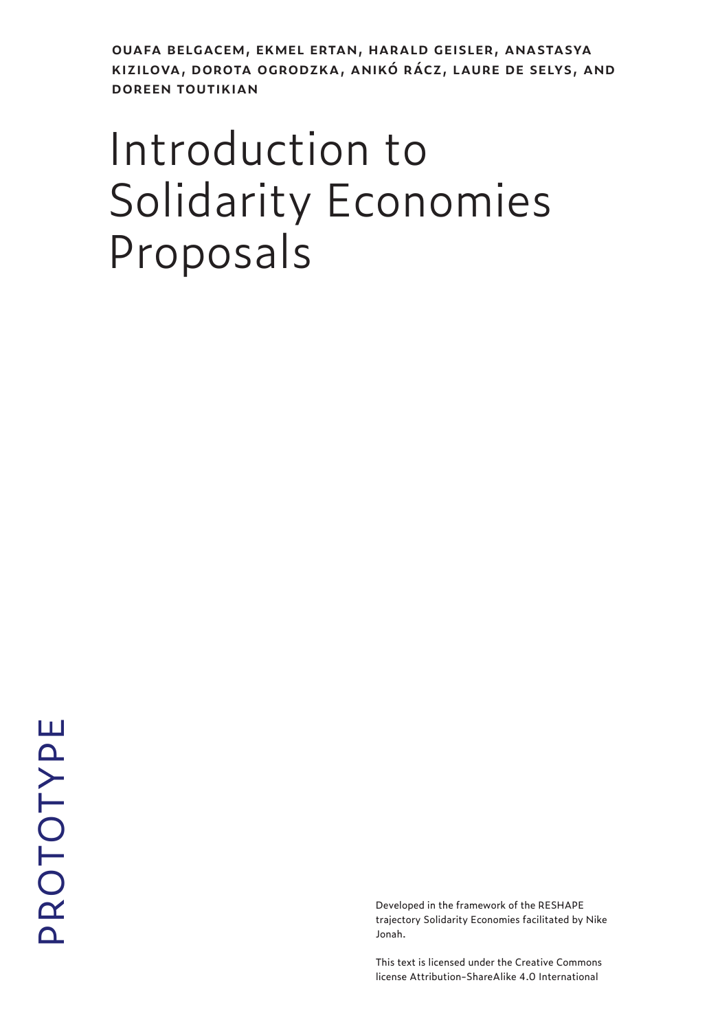**ouafa belgacem, ekmel ertan, harald geisler, anastasya kizilova, dorota ogrodzka, anikó rácz, laure de selys, and doreen toutikian**

## Introduction to Solidarity Economies Proposals

Developed in the framework of the RESHAPE trajectory Solidarity Economies facilitated by Nike Jonah.

This text is licensed under the Creative Commons license Attribution-ShareAlike 4.0 International